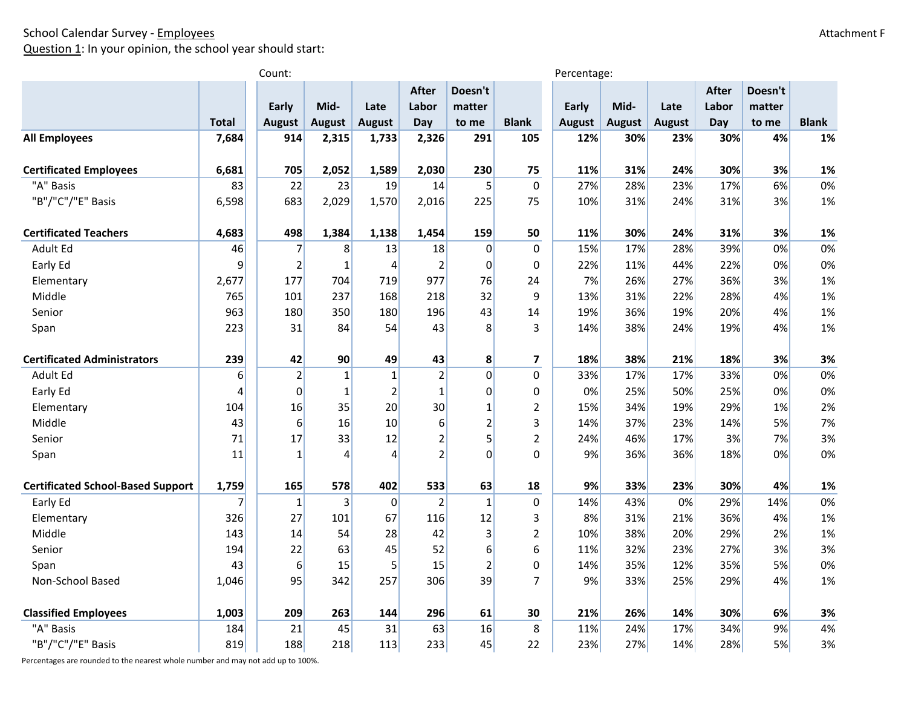Question 1: In your opinion, the school year should start:

|                                          |              | Count:         |               |                |                |                | Percentage:    |              |               |               |              |         |              |
|------------------------------------------|--------------|----------------|---------------|----------------|----------------|----------------|----------------|--------------|---------------|---------------|--------------|---------|--------------|
|                                          |              |                |               |                | <b>After</b>   | Doesn't        |                |              |               |               | <b>After</b> | Doesn't |              |
|                                          |              | Early          | Mid-          | Late           | Labor          | matter         |                | <b>Early</b> | Mid-          | Late          | Labor        | matter  |              |
|                                          | <b>Total</b> | August         | <b>August</b> | <b>August</b>  | Day            | to me          | <b>Blank</b>   | August       | <b>August</b> | <b>August</b> | Day          | to me   | <b>Blank</b> |
| <b>All Employees</b>                     | 7,684        | 914            | 2,315         | 1,733          | 2,326          | 291            | 105            | 12%          | 30%           | 23%           | 30%          | 4%      | 1%           |
| <b>Certificated Employees</b>            | 6,681        | 705            | 2,052         | 1,589          | 2,030          | 230            | 75             | 11%          | 31%           | 24%           | 30%          | 3%      | 1%           |
| "A" Basis                                | 83           | 22             | 23            | 19             | 14             | 5              | $\mathbf 0$    | 27%          | 28%           | 23%           | 17%          | 6%      | 0%           |
| "B"/"C"/"E" Basis                        | 6,598        | 683            | 2,029         | 1,570          | 2,016          | 225            | 75             | 10%          | 31%           | 24%           | 31%          | 3%      | 1%           |
|                                          |              |                |               |                |                |                |                |              |               |               |              |         |              |
| <b>Certificated Teachers</b>             | 4,683        | 498            | 1,384         | 1,138          | 1,454          | 159            | 50             | 11%          | 30%           | 24%           | 31%          | 3%      | 1%           |
| Adult Ed                                 | 46           | $\overline{7}$ | 8             | 13             | 18             | $\overline{0}$ | $\mathbf 0$    | 15%          | 17%           | 28%           | 39%          | 0%      | 0%           |
| Early Ed                                 | 9            | $\overline{2}$ | $\mathbf{1}$  | 4              | $\overline{2}$ | $\overline{0}$ | $\mathbf 0$    | 22%          | 11%           | 44%           | 22%          | 0%      | 0%           |
| Elementary                               | 2,677        | 177            | 704           | 719            | 977            | 76             | 24             | 7%           | 26%           | 27%           | 36%          | 3%      | 1%           |
| Middle                                   | 765          | 101            | 237           | 168            | 218            | 32             | 9              | 13%          | 31%           | 22%           | 28%          | 4%      | 1%           |
| Senior                                   | 963          | 180            | 350           | 180            | 196            | 43             | 14             | 19%          | 36%           | 19%           | 20%          | 4%      | 1%           |
| Span                                     | 223          | 31             | 84            | 54             | 43             | 8              | 3              | 14%          | 38%           | 24%           | 19%          | 4%      | 1%           |
| <b>Certificated Administrators</b>       | 239          | 42             | 90            | 49             | 43             | 8              | 7              | 18%          | 38%           | 21%           | 18%          | 3%      | 3%           |
| Adult Ed                                 | 6            | $\overline{2}$ | $\mathbf{1}$  | $\mathbf{1}$   | $\overline{2}$ | $\overline{0}$ | 0              | 33%          | 17%           | 17%           | 33%          | 0%      | 0%           |
| Early Ed                                 | 4            | 0              | $\mathbf{1}$  | $\overline{2}$ | $\mathbf 1$    | $\Omega$       | $\mathbf 0$    | 0%           | 25%           | 50%           | 25%          | 0%      | 0%           |
| Elementary                               | 104          | 16             | 35            | 20             | 30             | $\mathbf{1}$   | $\overline{2}$ | 15%          | 34%           | 19%           | 29%          | 1%      | 2%           |
| Middle                                   | 43           | 6              | 16            | 10             | 6              | $\overline{2}$ | 3              | 14%          | 37%           | 23%           | 14%          | 5%      | 7%           |
| Senior                                   | 71           | 17             | 33            | 12             | $\overline{2}$ | 5              | $\overline{2}$ | 24%          | 46%           | 17%           | 3%           | 7%      | 3%           |
| Span                                     | 11           | $\mathbf{1}$   | 4             | 4              | $\overline{2}$ | $\Omega$       | $\Omega$       | 9%           | 36%           | 36%           | 18%          | 0%      | 0%           |
| <b>Certificated School-Based Support</b> | 1,759        | 165            | 578           | 402            | 533            | 63             | 18             | 9%           | 33%           | 23%           | 30%          | 4%      | 1%           |
| Early Ed                                 | 7            | $\mathbf 1$    | $\mathbf{3}$  | $\mathbf 0$    | $\mathbf 2$    | $\mathbf 1$    | 0              | 14%          | 43%           | 0%            | 29%          | 14%     | 0%           |
| Elementary                               | 326          | 27             | 101           | 67             | 116            | 12             | 3              | 8%           | 31%           | 21%           | 36%          | 4%      | 1%           |
| Middle                                   | 143          | 14             | 54            | 28             | 42             | 3              | $\overline{2}$ | 10%          | 38%           | 20%           | 29%          | 2%      | 1%           |
| Senior                                   | 194          | 22             | 63            | 45             | 52             | 6              | 6              | 11%          | 32%           | 23%           | 27%          | 3%      | 3%           |
| Span                                     | 43           | 6              | 15            | 5              | 15             | $\overline{2}$ | $\mathbf 0$    | 14%          | 35%           | 12%           | 35%          | 5%      | 0%           |
| Non-School Based                         | 1,046        | 95             | 342           | 257            | 306            | 39             | 7              | 9%           | 33%           | 25%           | 29%          | 4%      | 1%           |
| <b>Classified Employees</b>              | 1,003        | 209            | 263           | 144            | 296            | 61             | 30             | 21%          | 26%           | 14%           | 30%          | 6%      | 3%           |
| "A" Basis                                | 184          | 21             | 45            | 31             | 63             | 16             | 8              | 11%          | 24%           | 17%           | 34%          | 9%      | 4%           |
| "B"/"C"/"E" Basis                        | 819          | 188            | 218           | 113            | 233            | 45             | 22             | 23%          | 27%           | 14%           | 28%          | 5%      | 3%           |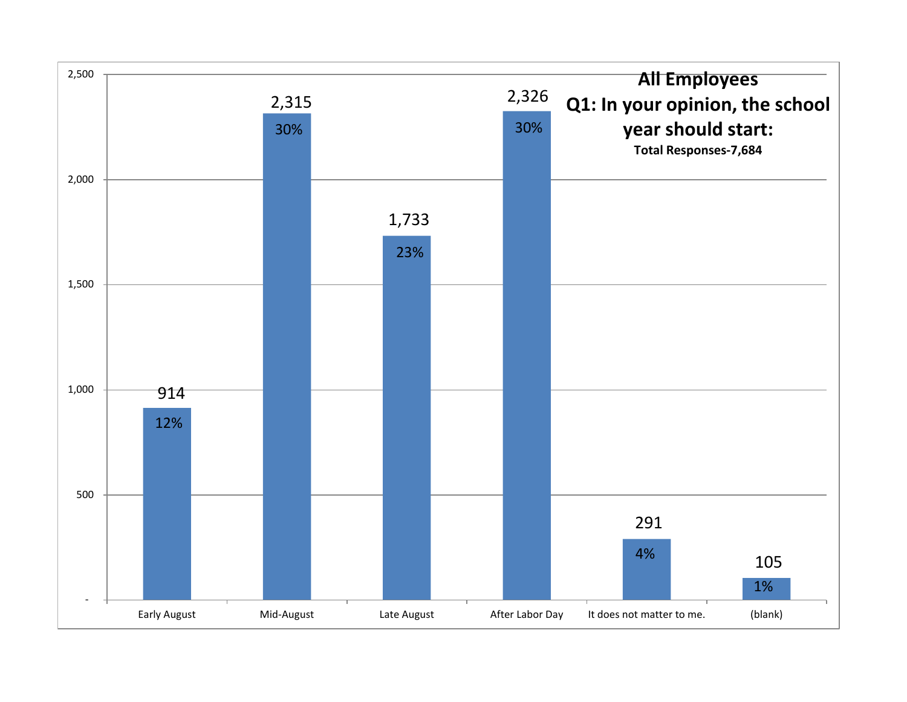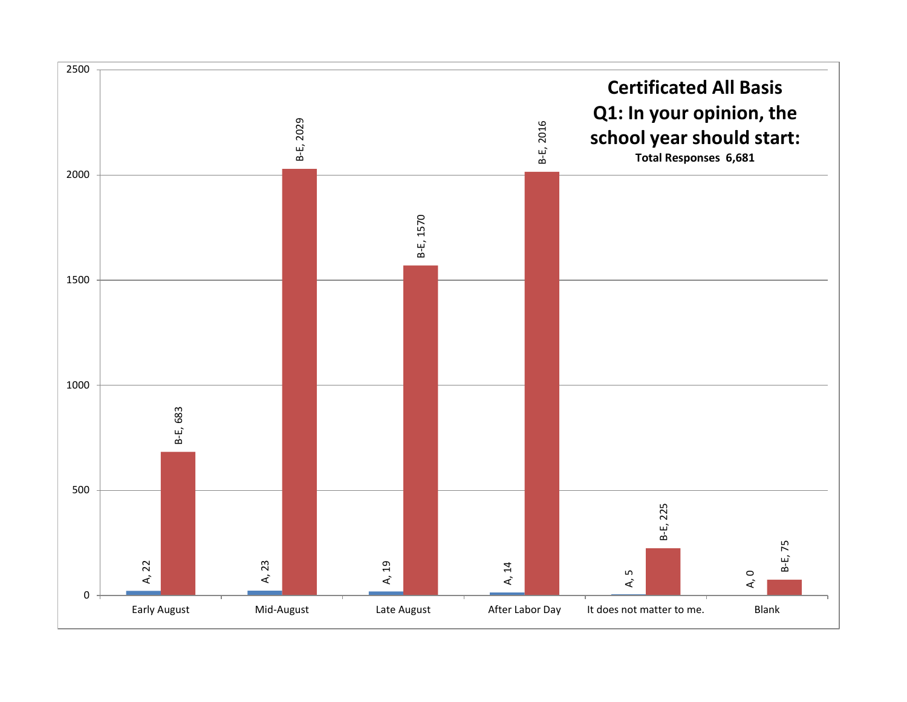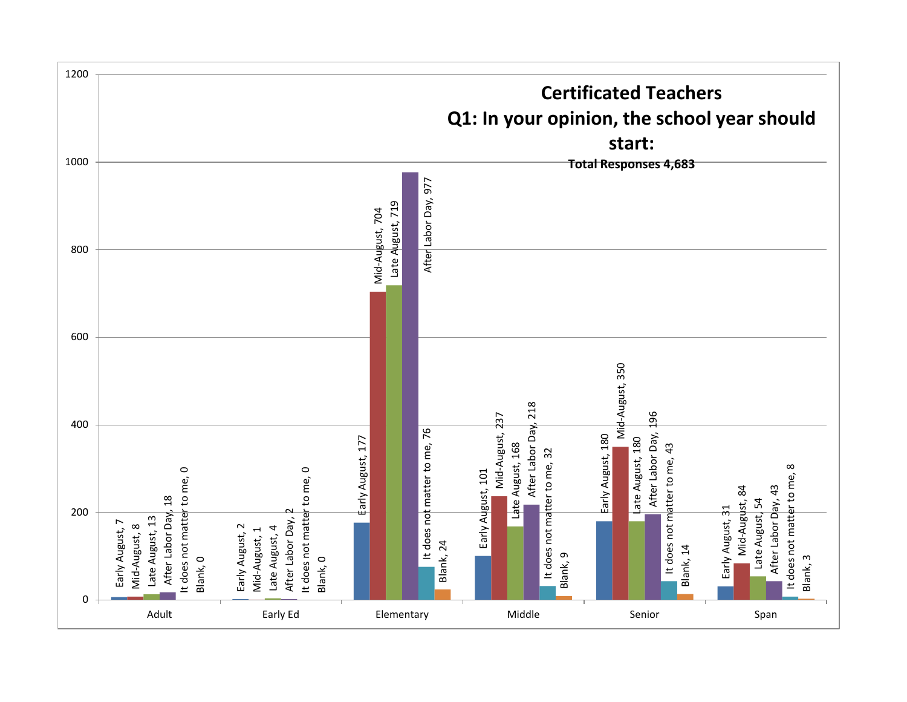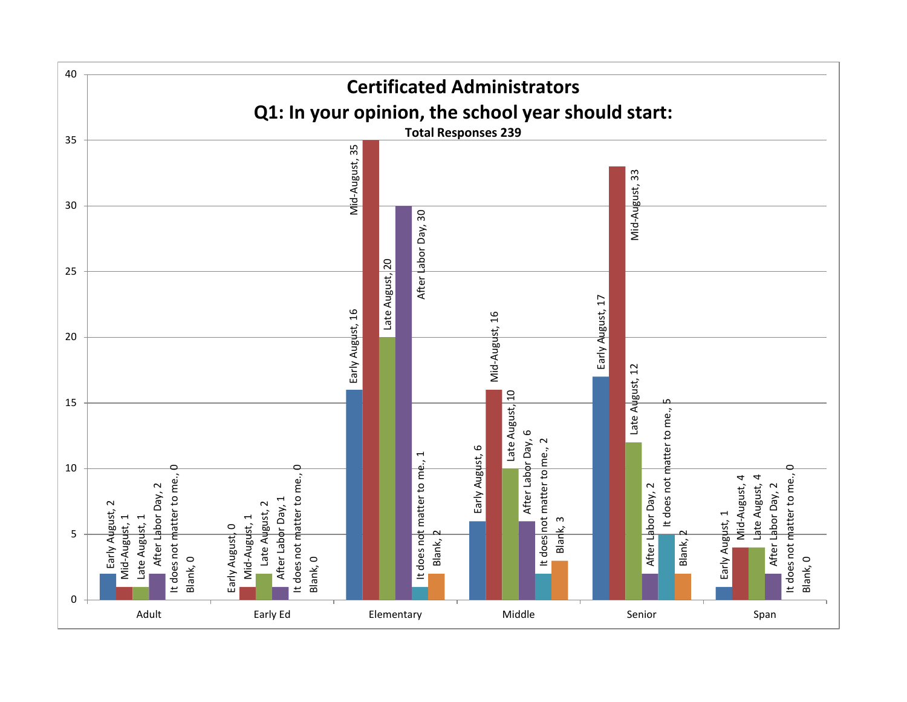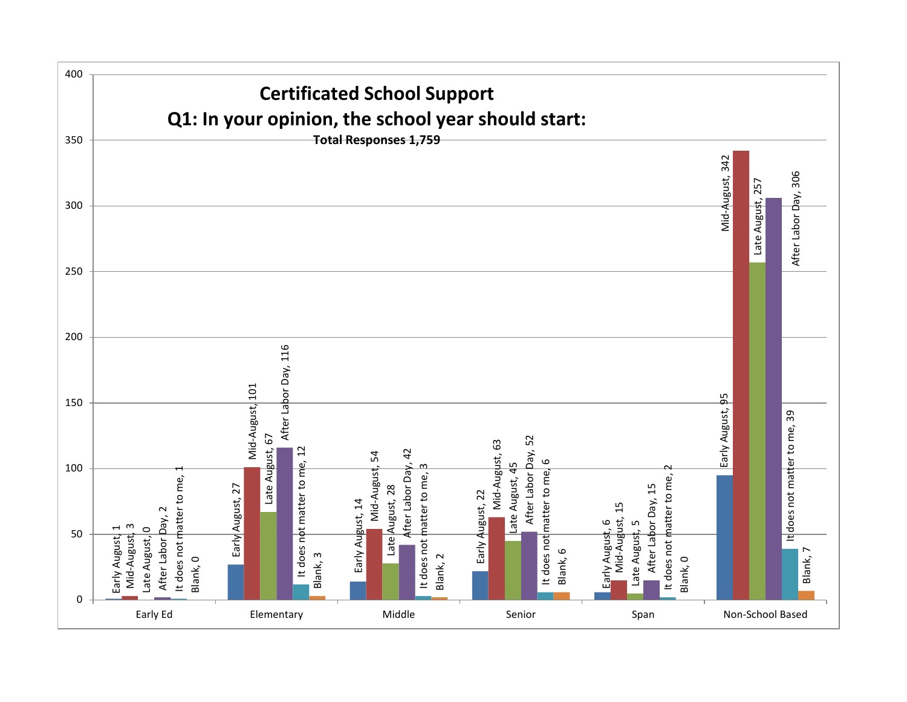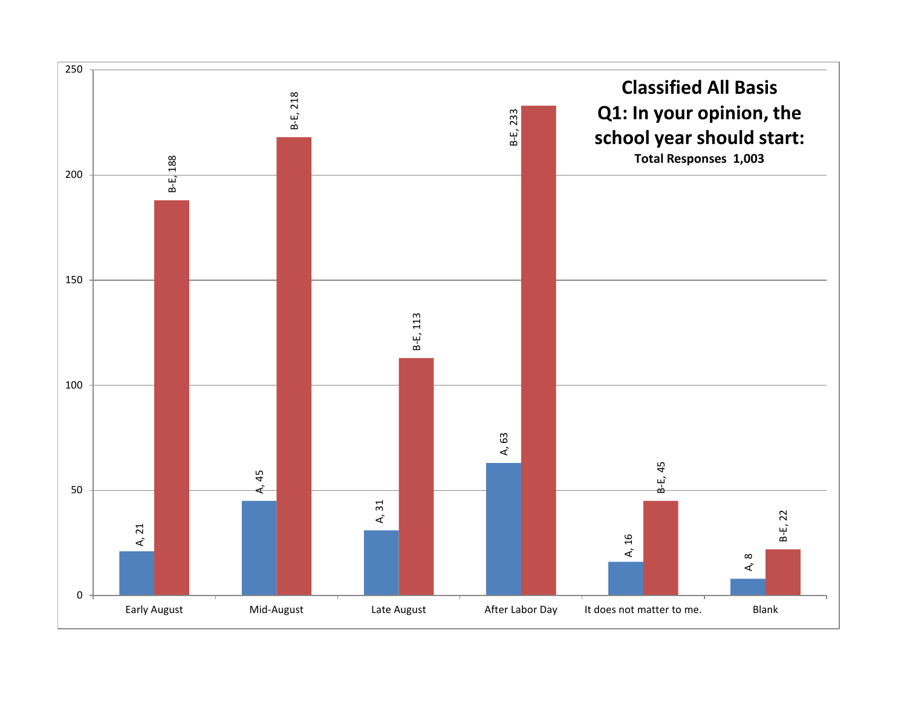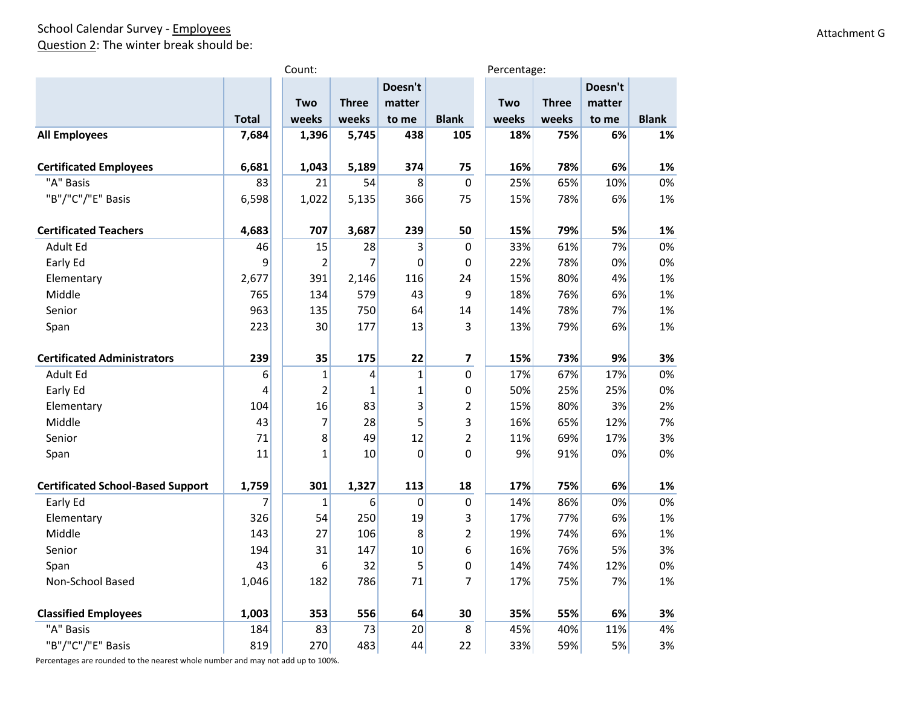### School Calendar Survey - Employees Question 2: The winter break should be:

|                                          |              | Count:<br>Percentage: |                |             |                         |       |              |         |              |
|------------------------------------------|--------------|-----------------------|----------------|-------------|-------------------------|-------|--------------|---------|--------------|
|                                          |              |                       |                | Doesn't     |                         |       |              | Doesn't |              |
|                                          |              | <b>Two</b>            | <b>Three</b>   | matter      |                         | Two   | <b>Three</b> | matter  |              |
|                                          | <b>Total</b> | weeks                 | weeks          | to me       | <b>Blank</b>            | weeks | weeks        | to me   | <b>Blank</b> |
| <b>All Employees</b>                     | 7,684        | 1,396                 | 5,745          | 438         | 105                     | 18%   | 75%          | 6%      | 1%           |
| <b>Certificated Employees</b>            | 6,681        | 1,043                 | 5,189          | 374         | 75                      | 16%   | 78%          | 6%      | 1%           |
| "A" Basis                                | 83           | 21                    | 54             | 8           | $\mathbf 0$             | 25%   | 65%          | 10%     | 0%           |
| "B"/"C"/"E" Basis                        | 6,598        | 1,022                 | 5,135          | 366         | 75                      | 15%   | 78%          | 6%      | 1%           |
| <b>Certificated Teachers</b>             | 4,683        | 707                   | 3,687          | 239         | 50                      | 15%   | 79%          | 5%      | 1%           |
| Adult Ed                                 | 46           | 15                    | 28             | 3           | $\Omega$                | 33%   | 61%          | 7%      | 0%           |
| Early Ed                                 | 9            | $\overline{2}$        | 7              | $\mathbf 0$ | 0                       | 22%   | 78%          | 0%      | 0%           |
| Elementary                               | 2,677        | 391                   | 2,146          | 116         | 24                      | 15%   | 80%          | 4%      | 1%           |
| Middle                                   | 765          | 134                   | 579            | 43          | 9                       | 18%   | 76%          | 6%      | 1%           |
| Senior                                   | 963          | 135                   | 750            | 64          | 14                      | 14%   | 78%          | 7%      | 1%           |
| Span                                     | 223          | 30                    | 177            | 13          | 3                       | 13%   | 79%          | 6%      | 1%           |
| <b>Certificated Administrators</b>       | 239          | 35                    | 175            | 22          | $\overline{\mathbf{z}}$ | 15%   | 73%          | 9%      | 3%           |
| Adult Ed                                 | 6            | $\mathbf 1$           | $\overline{4}$ | $\mathbf 1$ | $\mathbf 0$             | 17%   | 67%          | 17%     | 0%           |
| Early Ed                                 | 4            | $\overline{2}$        | 1              | 1           | 0                       | 50%   | 25%          | 25%     | 0%           |
| Elementary                               | 104          | 16                    | 83             | 3           | $\overline{2}$          | 15%   | 80%          | 3%      | 2%           |
| Middle                                   | 43           | $\overline{7}$        | 28             | 5           | 3                       | 16%   | 65%          | 12%     | 7%           |
| Senior                                   | 71           | 8                     | 49             | 12          | $\overline{2}$          | 11%   | 69%          | 17%     | 3%           |
| Span                                     | 11           | $\mathbf{1}$          | 10             | $\mathbf 0$ | $\mathbf 0$             | 9%    | 91%          | 0%      | 0%           |
| <b>Certificated School-Based Support</b> | 1,759        | 301                   | 1,327          | 113         | 18                      | 17%   | 75%          | 6%      | 1%           |
| Early Ed                                 | 7            | $\mathbf{1}$          | 6              | $\mathbf 0$ | 0                       | 14%   | 86%          | 0%      | 0%           |
| Elementary                               | 326          | 54                    | 250            | 19          | 3                       | 17%   | 77%          | 6%      | 1%           |
| Middle                                   | 143          | 27                    | 106            | 8           | $\overline{2}$          | 19%   | 74%          | 6%      | 1%           |
| Senior                                   | 194          | 31                    | 147            | $10\,$      | 6                       | 16%   | 76%          | 5%      | 3%           |
| Span                                     | 43           | 6                     | 32             | 5           | 0                       | 14%   | 74%          | 12%     | 0%           |
| Non-School Based                         | 1,046        | 182                   | 786            | 71          | 7                       | 17%   | 75%          | 7%      | 1%           |
| <b>Classified Employees</b>              | 1,003        | 353                   | 556            | 64          | 30                      | 35%   | 55%          | 6%      | 3%           |
| "A" Basis                                | 184          | 83                    | 73             | 20          | 8                       | 45%   | 40%          | 11%     | 4%           |
| "B"/"C"/"E" Basis                        | 819          | 270                   | 483            | 44          | 22                      | 33%   | 59%          | 5%      | 3%           |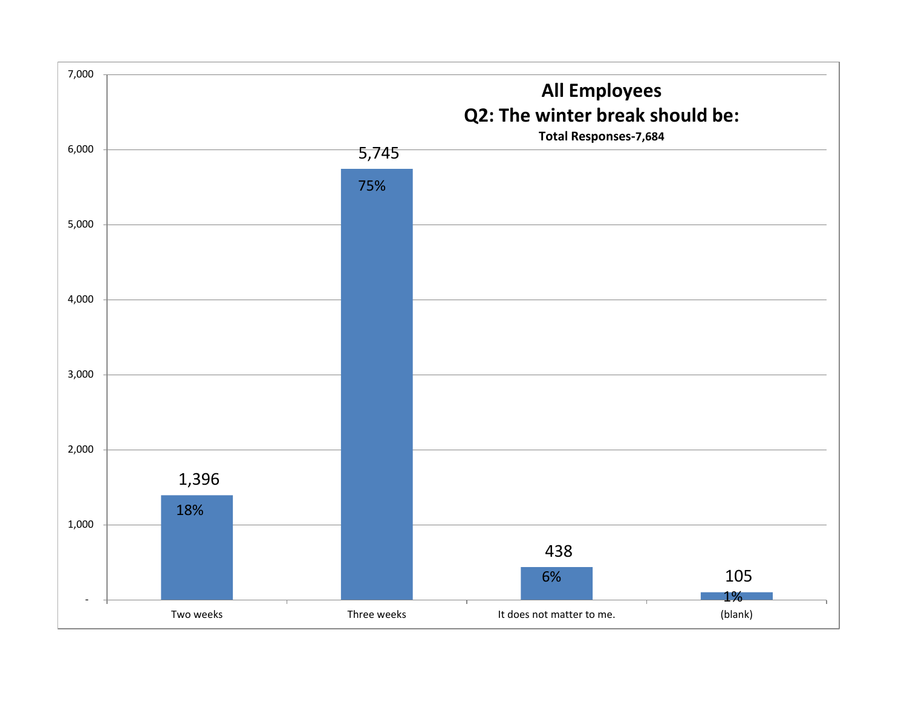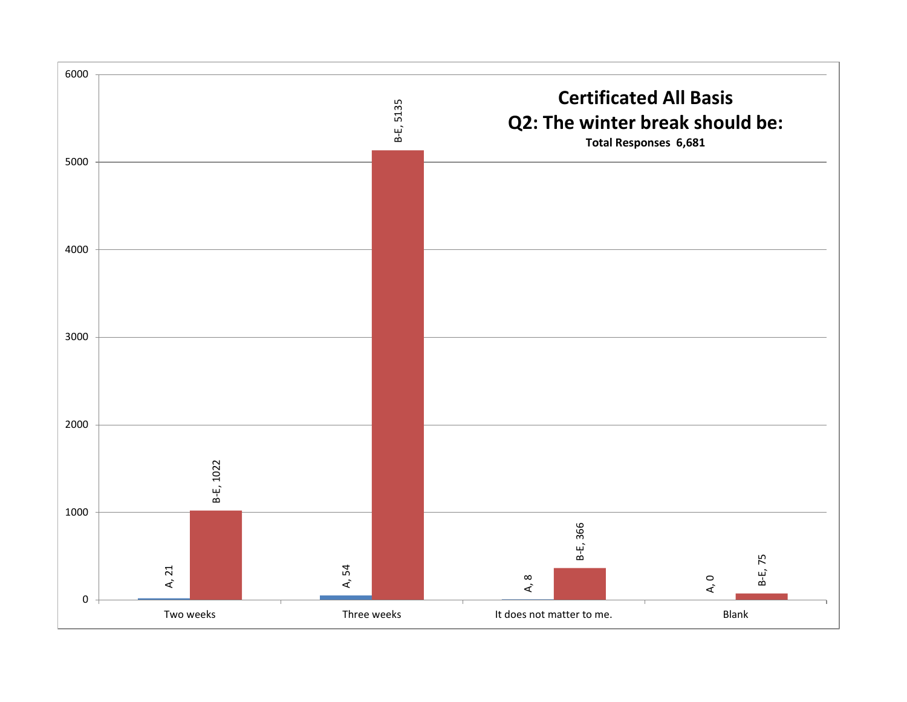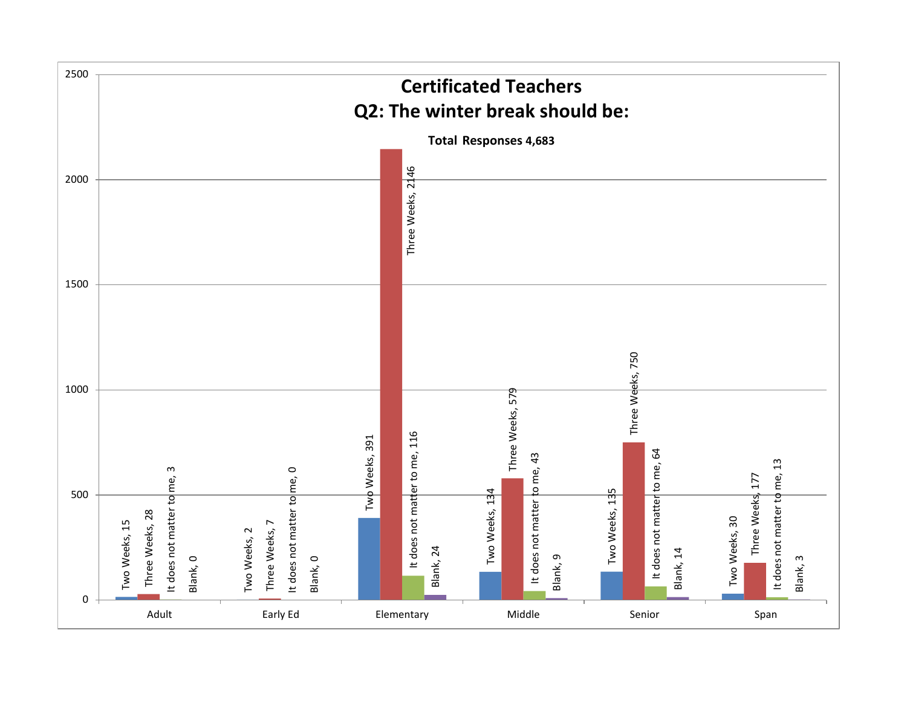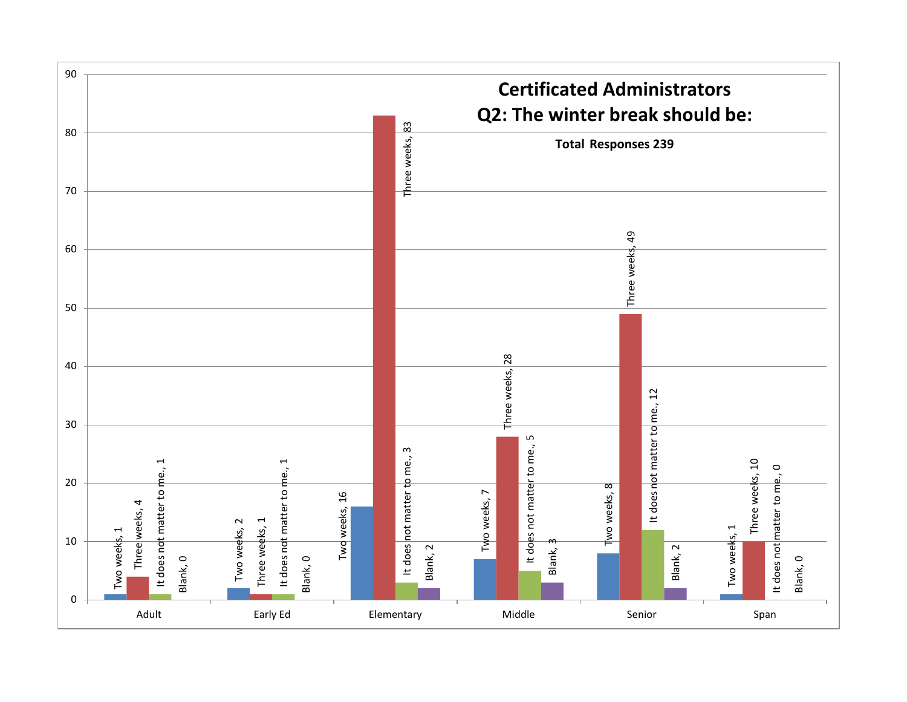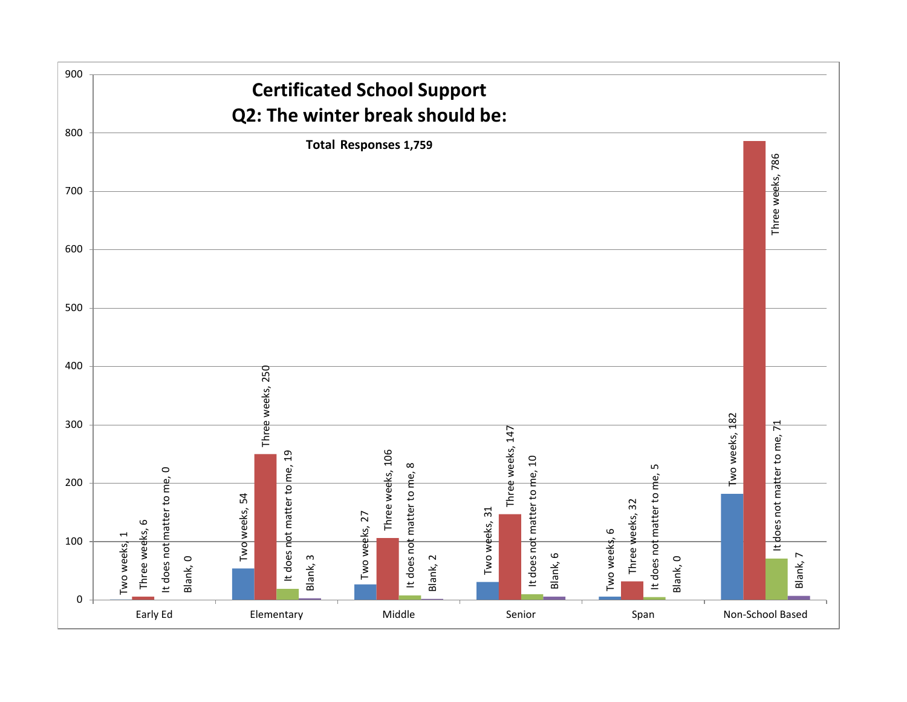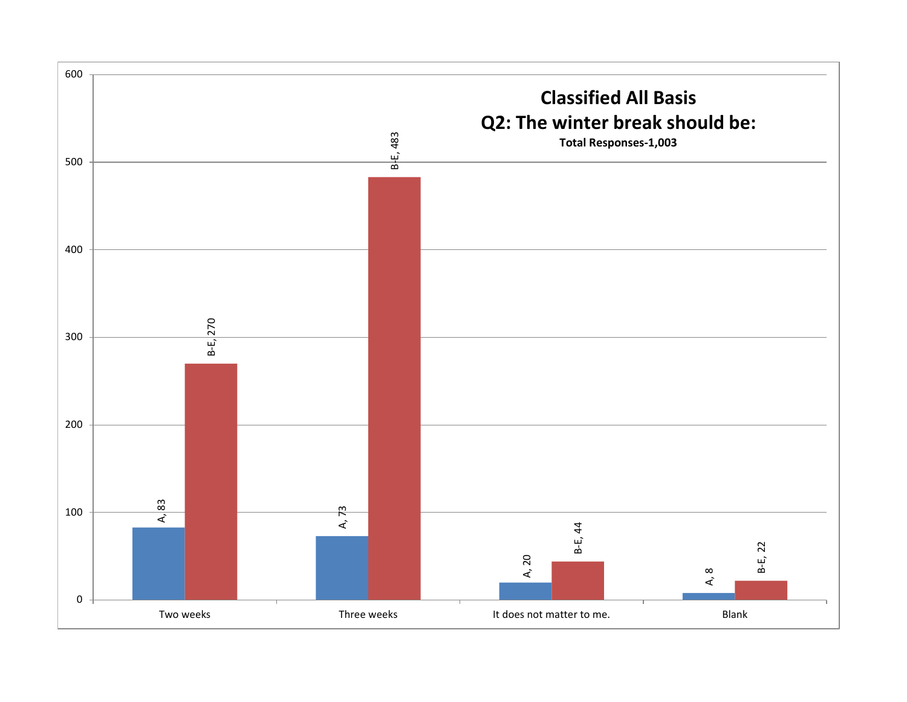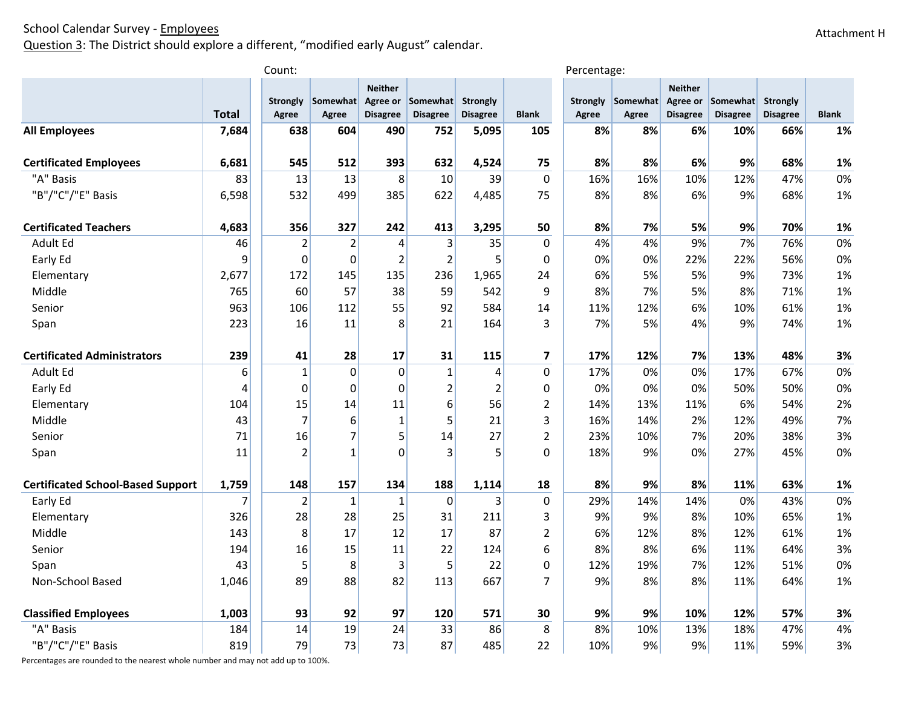Question 3: The District should explore a different, "modified early August" calendar.

|                                          |                | Count:                   |                   |                                   |                                      |                                    |                         | Percentage:              |                          |                                               |                             |                                    |              |
|------------------------------------------|----------------|--------------------------|-------------------|-----------------------------------|--------------------------------------|------------------------------------|-------------------------|--------------------------|--------------------------|-----------------------------------------------|-----------------------------|------------------------------------|--------------|
|                                          | <b>Total</b>   | <b>Strongly</b><br>Agree | Somewhat<br>Agree | <b>Neither</b><br><b>Disagree</b> | Agree or Somewhat<br><b>Disagree</b> | <b>Strongly</b><br><b>Disagree</b> | <b>Blank</b>            | <b>Strongly</b><br>Agree | Somewhat<br><b>Agree</b> | <b>Neither</b><br>Agree or<br><b>Disagree</b> | Somewhat<br><b>Disagree</b> | <b>Strongly</b><br><b>Disagree</b> | <b>Blank</b> |
| <b>All Employees</b>                     | 7,684          | 638                      | 604               | 490                               | 752                                  | 5,095                              | 105                     | 8%                       | 8%                       | 6%                                            | 10%                         | 66%                                | 1%           |
|                                          |                |                          |                   |                                   |                                      |                                    |                         |                          |                          |                                               |                             |                                    |              |
| <b>Certificated Employees</b>            | 6,681          | 545                      | 512               | 393                               | 632                                  | 4,524                              | 75                      | 8%                       | 8%                       | 6%                                            | 9%                          | 68%                                | 1%           |
| "A" Basis                                | 83             | 13                       | 13                | 8                                 | 10                                   | 39                                 | $\mathbf 0$             | 16%                      | 16%                      | 10%                                           | 12%                         | 47%                                | 0%           |
| "B"/"C"/"E" Basis                        | 6,598          | 532                      | 499               | 385                               | 622                                  | 4,485                              | 75                      | 8%                       | 8%                       | 6%                                            | 9%                          | 68%                                | 1%           |
| <b>Certificated Teachers</b>             | 4,683          | 356                      | 327               | 242                               | 413                                  | 3,295                              | 50                      | 8%                       | 7%                       | 5%                                            | 9%                          | 70%                                | 1%           |
| Adult Ed                                 | 46             | $\overline{2}$           | $\overline{2}$    | 4                                 | 3                                    | 35                                 | $\mathbf{0}$            | 4%                       | 4%                       | 9%                                            | 7%                          | 76%                                | 0%           |
| Early Ed                                 | 9              | $\mathbf 0$              | $\Omega$          | $\overline{2}$                    | $\overline{2}$                       | 5                                  | $\Omega$                | 0%                       | 0%                       | 22%                                           | 22%                         | 56%                                | 0%           |
| Elementary                               | 2,677          | 172                      | 145               | 135                               | 236                                  | 1,965                              | 24                      | 6%                       | 5%                       | 5%                                            | 9%                          | 73%                                | 1%           |
| Middle                                   | 765            | 60                       | 57                | 38                                | 59                                   | 542                                | 9                       | 8%                       | 7%                       | 5%                                            | 8%                          | 71%                                | 1%           |
| Senior                                   | 963            | 106                      | 112               | 55                                | 92                                   | 584                                | 14                      | 11%                      | 12%                      | 6%                                            | 10%                         | 61%                                | 1%           |
| Span                                     | 223            | 16                       | 11                | 8                                 | 21                                   | 164                                | 3                       | 7%                       | 5%                       | 4%                                            | 9%                          | 74%                                | 1%           |
|                                          |                |                          |                   |                                   |                                      |                                    |                         |                          |                          |                                               |                             |                                    |              |
| <b>Certificated Administrators</b>       | 239            | 41                       | 28                | 17                                | 31                                   | 115                                | $\overline{\mathbf{z}}$ | 17%                      | 12%                      | 7%                                            | 13%                         | 48%                                | 3%           |
| Adult Ed                                 | 6              | $\mathbf{1}$             | $\overline{0}$    | $\mathbf 0$                       | $\mathbf 1$                          | 4                                  | $\mathbf{0}$            | 17%                      | 0%                       | 0%                                            | 17%                         | 67%                                | 0%           |
| Early Ed                                 | $\overline{4}$ | $\mathbf 0$              | $\Omega$          | $\mathbf 0$                       | $\overline{\mathbf{c}}$              | $\overline{2}$                     | $\mathbf 0$             | 0%                       | 0%                       | 0%                                            | 50%                         | 50%                                | 0%           |
| Elementary                               | 104            | 15                       | 14                | 11                                | 6                                    | 56                                 | $\overline{2}$          | 14%                      | 13%                      | 11%                                           | 6%                          | 54%                                | 2%           |
| Middle                                   | 43             | $\overline{7}$           | 6                 | $\mathbf{1}$                      | 5                                    | 21                                 | 3                       | 16%                      | 14%                      | 2%                                            | 12%                         | 49%                                | 7%           |
| Senior                                   | 71             | 16                       | 7                 | 5                                 | 14                                   | 27                                 | $\overline{2}$          | 23%                      | 10%                      | 7%                                            | 20%                         | 38%                                | 3%           |
| Span                                     | 11             | $\overline{2}$           | $\mathbf{1}$      | $\overline{0}$                    | 3                                    | 5                                  | $\overline{0}$          | 18%                      | 9%                       | 0%                                            | 27%                         | 45%                                | 0%           |
| <b>Certificated School-Based Support</b> | 1,759          | 148                      | 157               | 134                               | 188                                  | 1,114                              | 18                      | 8%                       | 9%                       | 8%                                            | 11%                         | 63%                                | 1%           |
| Early Ed                                 | 7              | $\overline{2}$           | $\mathbf{1}$      | $\mathbf{1}$                      | $\mathbf 0$                          | 3                                  | $\Omega$                | 29%                      | 14%                      | 14%                                           | 0%                          | 43%                                | 0%           |
| Elementary                               | 326            | 28                       | 28                | 25                                | 31                                   | 211                                | 3                       | 9%                       | 9%                       | 8%                                            | 10%                         | 65%                                | 1%           |
| Middle                                   | 143            | 8                        | 17                | 12                                | 17                                   | 87                                 | $\overline{2}$          | 6%                       | 12%                      | 8%                                            | 12%                         | 61%                                | 1%           |
| Senior                                   | 194            | 16                       | 15                | 11                                | 22                                   | 124                                | 6                       | 8%                       | 8%                       | 6%                                            | 11%                         | 64%                                | 3%           |
| Span                                     | 43             | 5                        | 8                 | 3                                 | 5                                    | 22                                 | $\mathbf{0}$            | 12%                      | 19%                      | 7%                                            | 12%                         | 51%                                | 0%           |
| Non-School Based                         | 1,046          | 89                       | 88                | 82                                | 113                                  | 667                                | $\overline{7}$          | 9%                       | 8%                       | 8%                                            | 11%                         | 64%                                | 1%           |
|                                          |                |                          |                   |                                   |                                      |                                    |                         |                          |                          |                                               |                             |                                    |              |
| <b>Classified Employees</b>              | 1,003          | 93                       | 92                | 97                                | 120                                  | 571                                | 30                      | 9%                       | 9%                       | 10%                                           | 12%                         | 57%                                | 3%           |
| "A" Basis                                | 184            | 14                       | 19                | 24                                | 33                                   | 86                                 | 8                       | 8%                       | 10%                      | 13%                                           | 18%                         | 47%                                | 4%           |
| "B"/"C"/"E" Basis                        | 819            | 79                       | 73                | 73                                | 87                                   | 485                                | 22                      | 10%                      | 9%                       | 9%                                            | 11%                         | 59%                                | 3%           |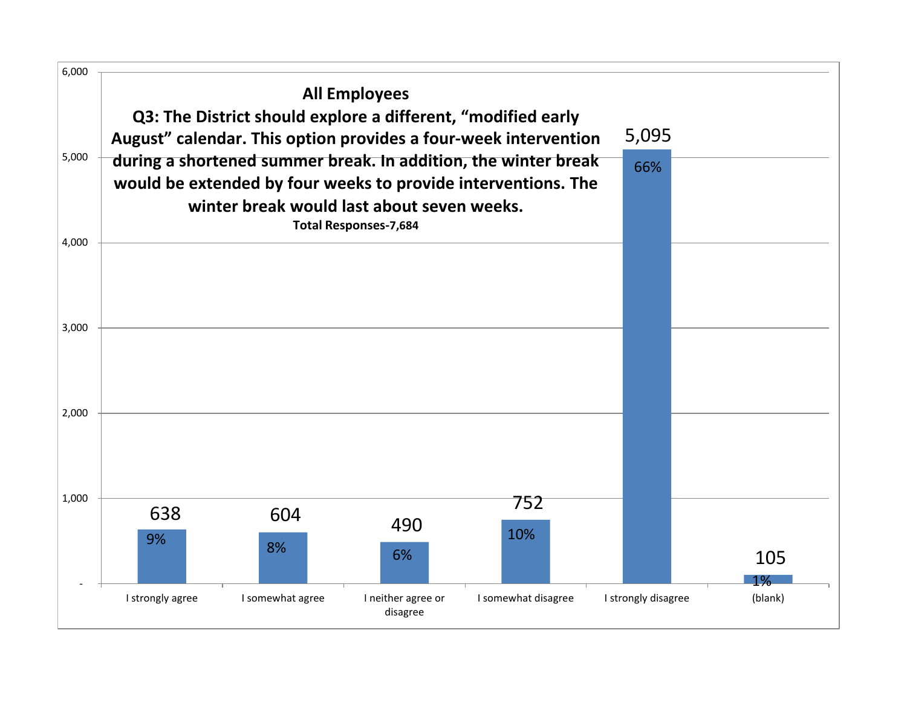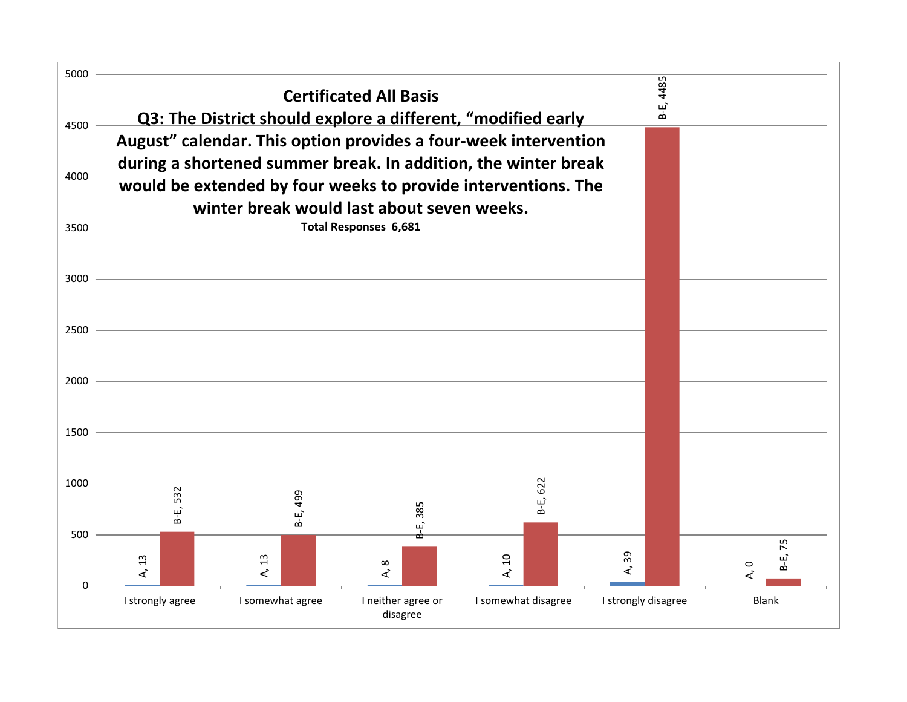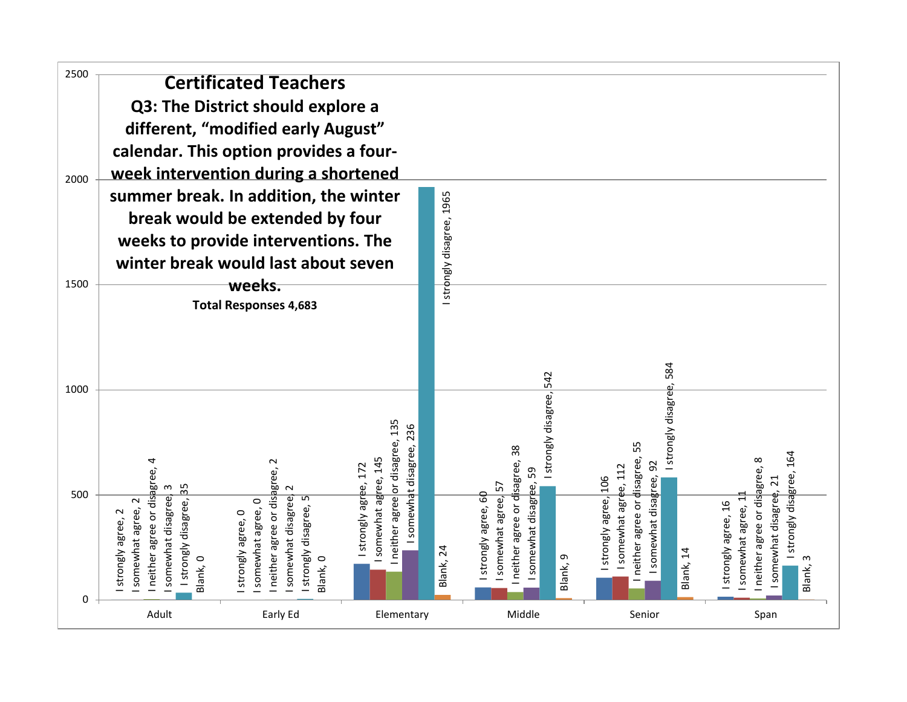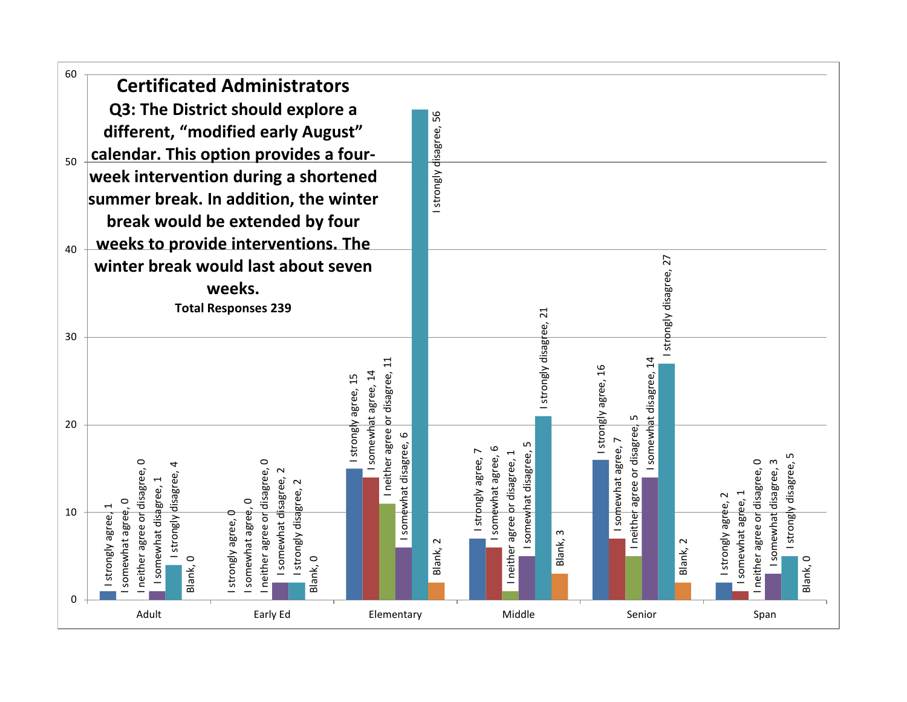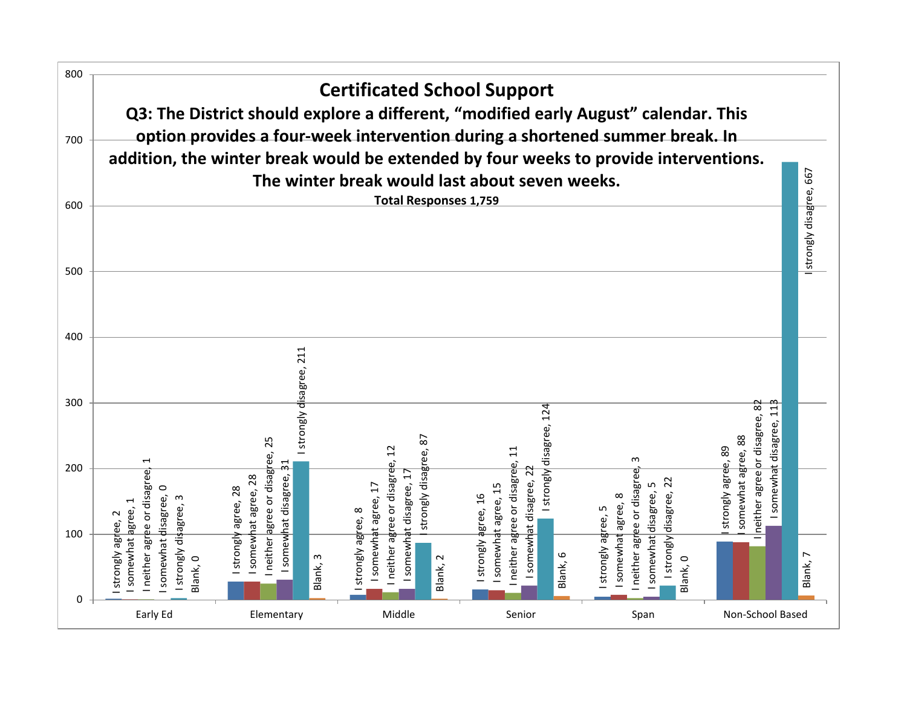![](_page_19_Figure_0.jpeg)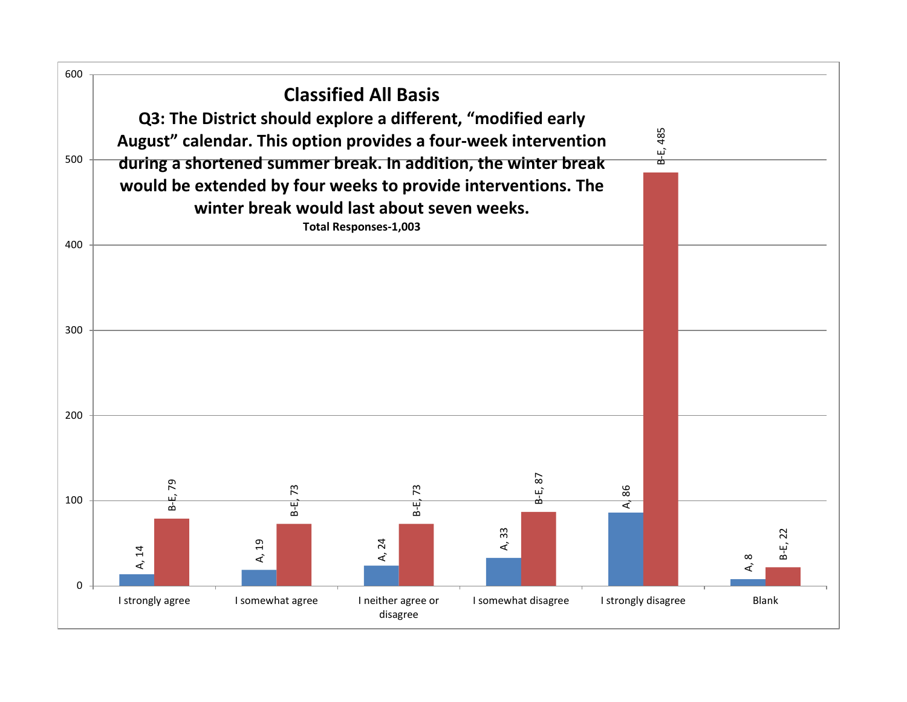![](_page_20_Figure_0.jpeg)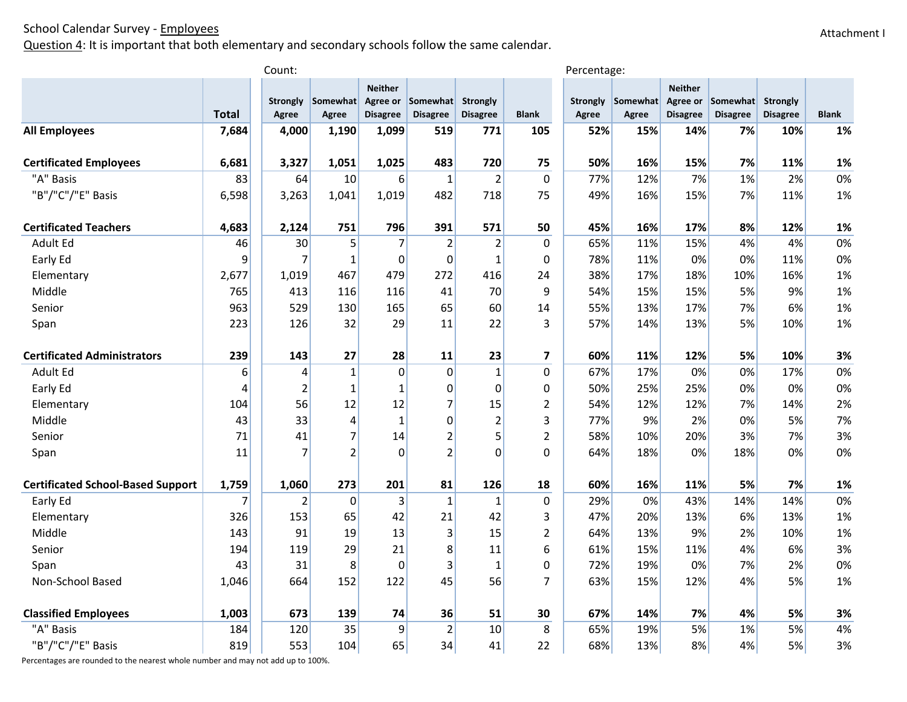Question 4: It is important that both elementary and secondary schools follow the same calendar.

|                                          |                | Count:                   |                   |                                   |                                      |                             |                | Percentage: |                            |                                               |                             |                                    |              |
|------------------------------------------|----------------|--------------------------|-------------------|-----------------------------------|--------------------------------------|-----------------------------|----------------|-------------|----------------------------|-----------------------------------------------|-----------------------------|------------------------------------|--------------|
|                                          | <b>Total</b>   | <b>Strongly</b><br>Agree | Somewhat<br>Agree | <b>Neither</b><br><b>Disagree</b> | Agree or Somewhat<br><b>Disagree</b> | Strongly<br><b>Disagree</b> | <b>Blank</b>   | Agree       | Strongly Somewhat<br>Agree | <b>Neither</b><br>Agree or<br><b>Disagree</b> | Somewhat<br><b>Disagree</b> | <b>Strongly</b><br><b>Disagree</b> | <b>Blank</b> |
| <b>All Employees</b>                     | 7,684          | 4,000                    | 1,190             | 1,099                             | 519                                  | 771                         | 105            | 52%         | 15%                        | 14%                                           | 7%                          | 10%                                | 1%           |
|                                          |                |                          |                   |                                   |                                      |                             |                |             |                            |                                               |                             |                                    |              |
| <b>Certificated Employees</b>            | 6,681          | 3,327                    | 1,051             | 1,025                             | 483                                  | 720                         | 75             | 50%         | 16%                        | 15%                                           | 7%                          | 11%                                | 1%           |
| "A" Basis                                | 83             | 64                       | 10                | 6                                 | $\mathbf 1$                          | $\overline{2}$              | $\mathbf 0$    | 77%         | 12%                        | 7%                                            | 1%                          | 2%                                 | 0%           |
| "B"/"C"/"E" Basis                        | 6,598          | 3,263                    | 1,041             | 1,019                             | 482                                  | 718                         | 75             | 49%         | 16%                        | 15%                                           | 7%                          | 11%                                | 1%           |
| <b>Certificated Teachers</b>             | 4,683          | 2,124                    | 751               | 796                               | 391                                  | 571                         | 50             | 45%         | 16%                        | 17%                                           | 8%                          | 12%                                | 1%           |
| Adult Ed                                 | 46             | 30                       | 5                 | $\overline{7}$                    | $\overline{2}$                       | 2                           | $\Omega$       | 65%         | 11%                        | 15%                                           | 4%                          | 4%                                 | 0%           |
| Early Ed                                 | 9              | $\overline{7}$           | 1                 | $\mathbf 0$                       | $\pmb{0}$                            | $\mathbf{1}$                | $\mathbf 0$    | 78%         | 11%                        | 0%                                            | 0%                          | 11%                                | 0%           |
| Elementary                               | 2,677          | 1,019                    | 467               | 479                               | 272                                  | 416                         | 24             | 38%         | 17%                        | 18%                                           | 10%                         | 16%                                | 1%           |
| Middle                                   | 765            | 413                      | 116               | 116                               | 41                                   | 70                          | 9              | 54%         | 15%                        | 15%                                           | 5%                          | 9%                                 | 1%           |
| Senior                                   | 963            | 529                      | 130               | 165                               | 65                                   | 60                          | 14             | 55%         | 13%                        | 17%                                           | 7%                          | 6%                                 | 1%           |
| Span                                     | 223            | 126                      | 32                | 29                                | 11                                   | 22                          | 3              | 57%         | 14%                        | 13%                                           | 5%                          | 10%                                | 1%           |
| <b>Certificated Administrators</b>       | 239            | 143                      | 27                | 28                                | 11                                   | 23                          | $\overline{ }$ | 60%         | 11%                        | 12%                                           | 5%                          | 10%                                | 3%           |
| Adult Ed                                 | 6              | 4                        | $\mathbf{1}$      | $\overline{0}$                    | $\mathbf 0$                          | $\mathbf{1}$                | 0              | 67%         | 17%                        | 0%                                            | 0%                          | 17%                                | 0%           |
| Early Ed                                 | $\overline{4}$ | $\overline{2}$           | 1                 | $\mathbf{1}$                      | $\pmb{0}$                            | $\mathbf{0}$                | 0              | 50%         | 25%                        | 25%                                           | 0%                          | 0%                                 | 0%           |
| Elementary                               | 104            | 56                       | 12                | 12                                | $\overline{7}$                       | 15                          | $\overline{2}$ | 54%         | 12%                        | 12%                                           | 7%                          | 14%                                | 2%           |
| Middle                                   | 43             | 33                       | 4                 | $\mathbf{1}$                      | $\mathbf 0$                          | $\overline{2}$              | 3              | 77%         | 9%                         | 2%                                            | 0%                          | 5%                                 | 7%           |
| Senior                                   | 71             | 41                       | 7                 | 14                                | $\overline{2}$                       | 5                           | $\overline{2}$ | 58%         | 10%                        | 20%                                           | 3%                          | 7%                                 | 3%           |
| Span                                     | 11             | $\overline{7}$           | $\overline{2}$    | $\Omega$                          | $\overline{2}$                       | $\Omega$                    | $\overline{0}$ | 64%         | 18%                        | 0%                                            | 18%                         | 0%                                 | 0%           |
| <b>Certificated School-Based Support</b> | 1,759          | 1,060                    | 273               | 201                               | 81                                   | 126                         | 18             | 60%         | 16%                        | 11%                                           | 5%                          | 7%                                 | 1%           |
| Early Ed                                 | 7              | 2                        | $\Omega$          | 3                                 | $\mathbf 1$                          | 1                           | $\mathbf 0$    | 29%         | 0%                         | 43%                                           | 14%                         | 14%                                | 0%           |
| Elementary                               | 326            | 153                      | 65                | 42                                | 21                                   | 42                          | 3              | 47%         | 20%                        | 13%                                           | 6%                          | 13%                                | 1%           |
| Middle                                   | 143            | 91                       | 19                | 13                                | 3                                    | 15                          | $\overline{2}$ | 64%         | 13%                        | 9%                                            | 2%                          | 10%                                | 1%           |
| Senior                                   | 194            | 119                      | 29                | 21                                | 8                                    | 11                          | 6              | 61%         | 15%                        | 11%                                           | 4%                          | 6%                                 | 3%           |
| Span                                     | 43             | 31                       | 8                 | $\mathbf 0$                       | 3                                    | 1                           | $\Omega$       | 72%         | 19%                        | 0%                                            | 7%                          | 2%                                 | 0%           |
| Non-School Based                         | 1,046          | 664                      | 152               | 122                               | 45                                   | 56                          | $\overline{7}$ | 63%         | 15%                        | 12%                                           | 4%                          | 5%                                 | 1%           |
| <b>Classified Employees</b>              | 1,003          | 673                      | 139               | 74                                | 36                                   | 51                          | 30             | 67%         | 14%                        | 7%                                            | 4%                          | 5%                                 | 3%           |
| "A" Basis                                | 184            | 120                      | 35                | 9                                 | $\overline{2}$                       | 10                          | 8              | 65%         | 19%                        | 5%                                            | 1%                          | 5%                                 | 4%           |
| "B"/"C"/"E" Basis                        | 819            | 553                      |                   | 65                                | 34                                   |                             |                | 68%         | 13%                        | 8%                                            | 4%                          | 5%                                 | 3%           |
|                                          |                |                          | 104               |                                   |                                      | 41                          | 22             |             |                            |                                               |                             |                                    |              |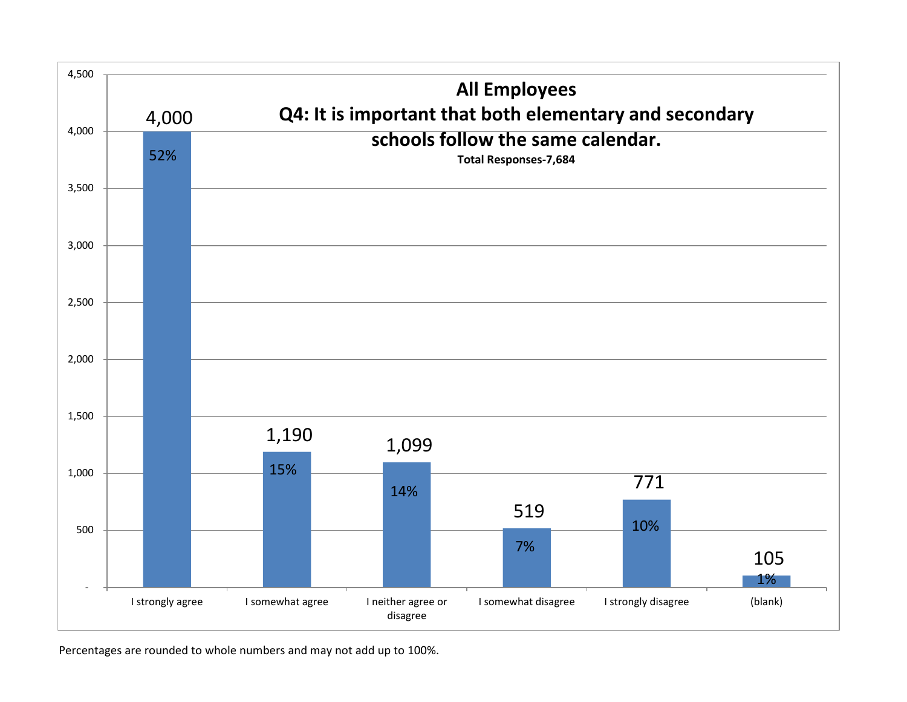![](_page_22_Figure_0.jpeg)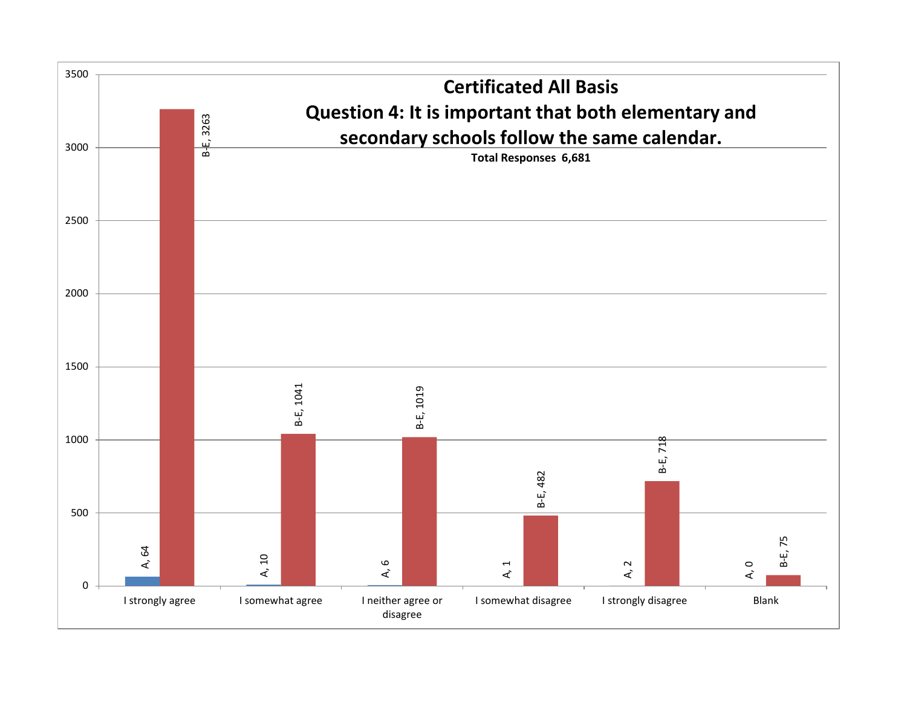![](_page_23_Figure_0.jpeg)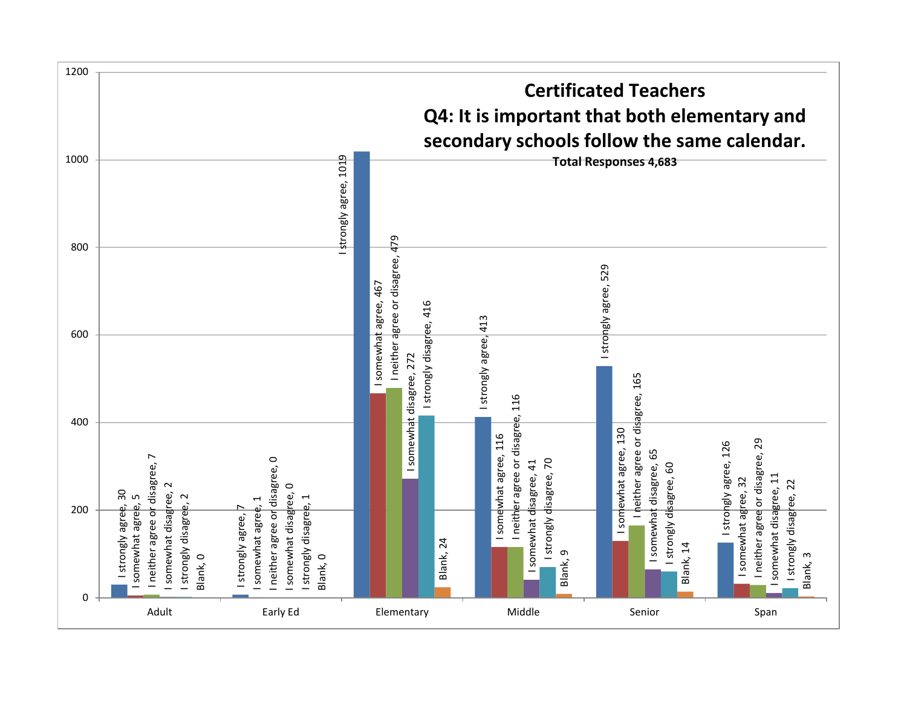![](_page_24_Figure_0.jpeg)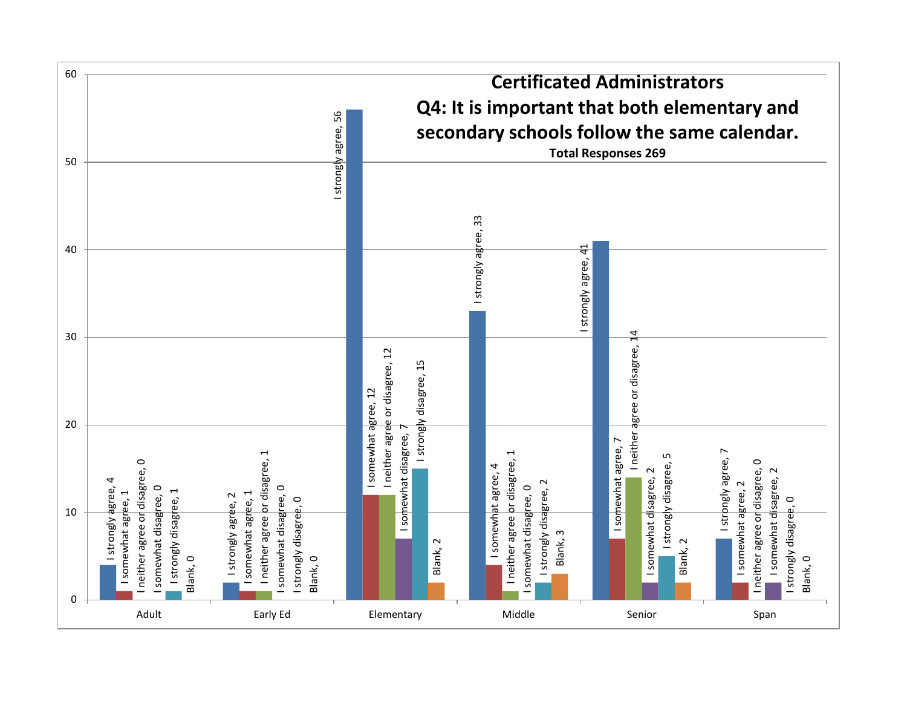![](_page_25_Figure_0.jpeg)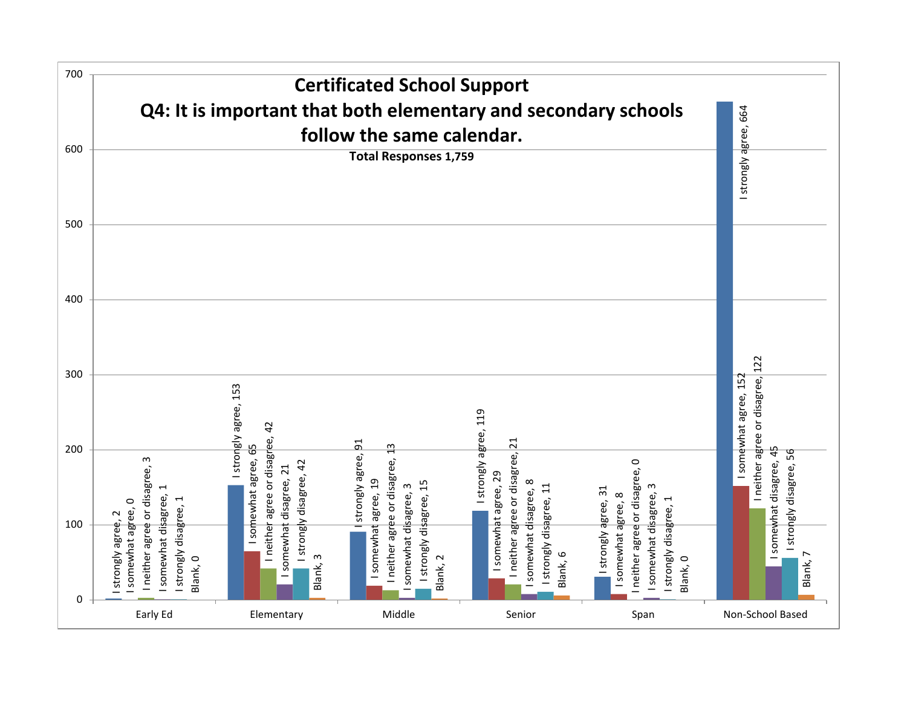![](_page_26_Figure_0.jpeg)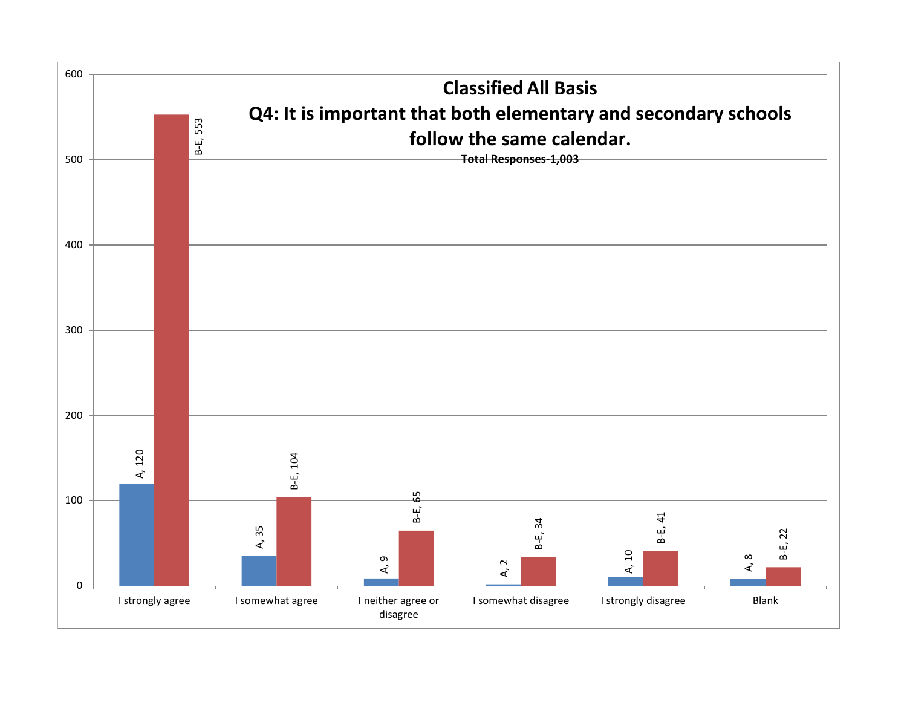![](_page_27_Figure_0.jpeg)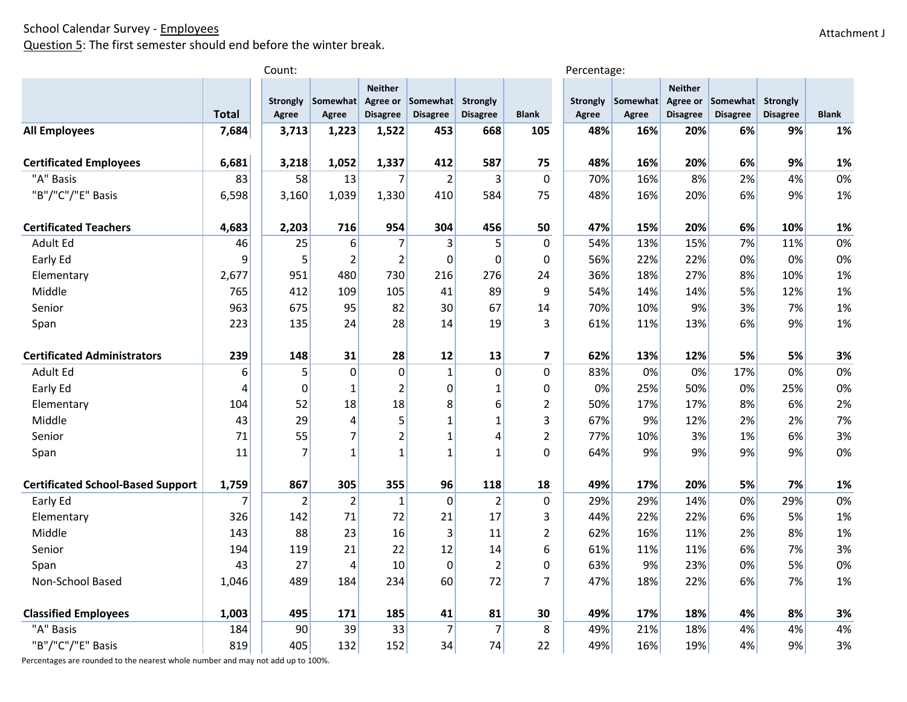Question 5: The first semester should end before the winter break.

|                                          |              | Count:                   |                   |                                   |                                      |                                    |                | Percentage:              |                   |                                   |                                      |                                    |              |
|------------------------------------------|--------------|--------------------------|-------------------|-----------------------------------|--------------------------------------|------------------------------------|----------------|--------------------------|-------------------|-----------------------------------|--------------------------------------|------------------------------------|--------------|
|                                          | <b>Total</b> | <b>Strongly</b><br>Agree | Somewhat<br>Agree | <b>Neither</b><br><b>Disagree</b> | Agree or Somewhat<br><b>Disagree</b> | <b>Strongly</b><br><b>Disagree</b> | <b>Blank</b>   | <b>Strongly</b><br>Agree | Somewhat<br>Agree | <b>Neither</b><br><b>Disagree</b> | Agree or Somewhat<br><b>Disagree</b> | <b>Strongly</b><br><b>Disagree</b> | <b>Blank</b> |
| <b>All Employees</b>                     | 7,684        | 3,713                    | 1,223             | 1,522                             | 453                                  | 668                                | 105            | 48%                      | 16%               | 20%                               | 6%                                   | 9%                                 | 1%           |
| <b>Certificated Employees</b>            | 6,681        | 3,218                    | 1,052             | 1,337                             | 412                                  | 587                                | 75             | 48%                      | 16%               | 20%                               | 6%                                   | 9%                                 | 1%           |
| "A" Basis                                | 83           | 58                       | 13                | 7                                 | $\overline{2}$                       | 3                                  | $\Omega$       | 70%                      | 16%               | 8%                                | 2%                                   | 4%                                 | 0%           |
| "B"/"C"/"E" Basis                        | 6,598        | 3,160                    | 1,039             | 1,330                             | 410                                  | 584                                | 75             | 48%                      | 16%               | 20%                               | 6%                                   | 9%                                 | 1%           |
|                                          |              |                          |                   |                                   |                                      |                                    |                |                          |                   |                                   |                                      |                                    |              |
| <b>Certificated Teachers</b>             | 4,683        | 2,203                    | 716               | 954                               | 304                                  | 456                                | 50             | 47%                      | 15%               | 20%                               | 6%                                   | 10%                                | 1%           |
| Adult Ed                                 | 46           | 25                       | 6                 | $\overline{7}$                    | $\overline{3}$                       | 5                                  | $\mathbf 0$    | 54%                      | 13%               | 15%                               | 7%                                   | 11%                                | 0%           |
| Early Ed                                 | 9            | 5                        | $\overline{2}$    | $\overline{2}$                    | $\mathbf 0$                          | 0                                  | $\mathbf 0$    | 56%                      | 22%               | 22%                               | 0%                                   | 0%                                 | 0%           |
| Elementary                               | 2,677        | 951                      | 480               | 730                               | 216                                  | 276                                | 24             | 36%                      | 18%               | 27%                               | 8%                                   | 10%                                | 1%           |
| Middle                                   | 765          | 412                      | 109               | 105                               | 41                                   | 89                                 | 9              | 54%                      | 14%               | 14%                               | 5%                                   | 12%                                | 1%           |
| Senior                                   | 963          | 675                      | 95                | 82                                | 30                                   | 67                                 | 14             | 70%                      | 10%               | 9%                                | 3%                                   | 7%                                 | 1%           |
| Span                                     | 223          | 135                      | 24                | 28                                | 14                                   | 19                                 | 3              | 61%                      | 11%               | 13%                               | 6%                                   | 9%                                 | 1%           |
| <b>Certificated Administrators</b>       | 239          | 148                      | 31                | 28                                | 12                                   | 13                                 | 7              | 62%                      | 13%               | 12%                               | 5%                                   | 5%                                 | 3%           |
| Adult Ed                                 | 6            | 5                        | $\Omega$          | $\overline{0}$                    | $\mathbf 1$                          | $\Omega$                           | $\overline{0}$ | 83%                      | 0%                | 0%                                | 17%                                  | 0%                                 | 0%           |
| Early Ed                                 | 4            | $\mathbf 0$              | 1                 | $\overline{c}$                    | $\pmb{0}$                            | $\mathbf{1}$                       | 0              | 0%                       | 25%               | 50%                               | 0%                                   | 25%                                | 0%           |
| Elementary                               | 104          | 52                       | 18                | 18                                | 8                                    | 6                                  | $\overline{2}$ | 50%                      | 17%               | 17%                               | 8%                                   | 6%                                 | 2%           |
| Middle                                   | 43           | 29                       | 4                 | 5                                 | $\mathbf 1$                          | 1                                  | 3              | 67%                      | 9%                | 12%                               | 2%                                   | 2%                                 | 7%           |
| Senior                                   | 71           | 55                       | 7                 | $\overline{2}$                    | $\mathbf{1}$                         | 4                                  | $\overline{2}$ | 77%                      | 10%               | 3%                                | 1%                                   | 6%                                 | 3%           |
| Span                                     | 11           | $\overline{7}$           | 1                 | $\overline{1}$                    | $\mathbf{1}$                         | 1                                  | $\overline{0}$ | 64%                      | 9%                | 9%                                | 9%                                   | 9%                                 | 0%           |
| <b>Certificated School-Based Support</b> | 1,759        | 867                      | 305               | 355                               | 96                                   | 118                                | 18             | 49%                      | 17%               | 20%                               | 5%                                   | 7%                                 | 1%           |
| Early Ed                                 | 7            | $\overline{2}$           | $\overline{2}$    | $\mathbf{1}$                      | $\mathbf 0$                          | $\overline{2}$                     | $\Omega$       | 29%                      | 29%               | 14%                               | 0%                                   | 29%                                | 0%           |
| Elementary                               | 326          | 142                      | 71                | 72                                | 21                                   | 17                                 | 3              | 44%                      | 22%               | 22%                               | 6%                                   | 5%                                 | 1%           |
| Middle                                   | 143          | 88                       | 23                | 16                                | $\mathbf{3}$                         | 11                                 | $\overline{2}$ | 62%                      | 16%               | 11%                               | 2%                                   | 8%                                 | 1%           |
| Senior                                   | 194          | 119                      | 21                | 22                                | 12                                   | 14                                 | 6              | 61%                      | 11%               | 11%                               | 6%                                   | 7%                                 | 3%           |
| Span                                     | 43           | 27                       | 4                 | 10                                | $\pmb{0}$                            | 2                                  | 0              | 63%                      | 9%                | 23%                               | 0%                                   | 5%                                 | 0%           |
| Non-School Based                         | 1,046        | 489                      | 184               | 234                               | 60                                   | 72                                 | $\overline{7}$ | 47%                      | 18%               | 22%                               | 6%                                   | 7%                                 | 1%           |
| <b>Classified Employees</b>              | 1,003        | 495                      | 171               | 185                               | 41                                   | 81                                 | 30             | 49%                      | 17%               | 18%                               | 4%                                   | 8%                                 | 3%           |
| "A" Basis                                | 184          | 90                       | 39                | 33                                | $\overline{7}$                       | $\overline{7}$                     | 8              | 49%                      | 21%               | 18%                               | 4%                                   | 4%                                 | 4%           |
| "B"/"C"/"E" Basis                        | 819          | 405                      | 132               | 152                               | 34                                   | 74                                 | 22             | 49%                      | 16%               | 19%                               | 4%                                   | 9%                                 | 3%           |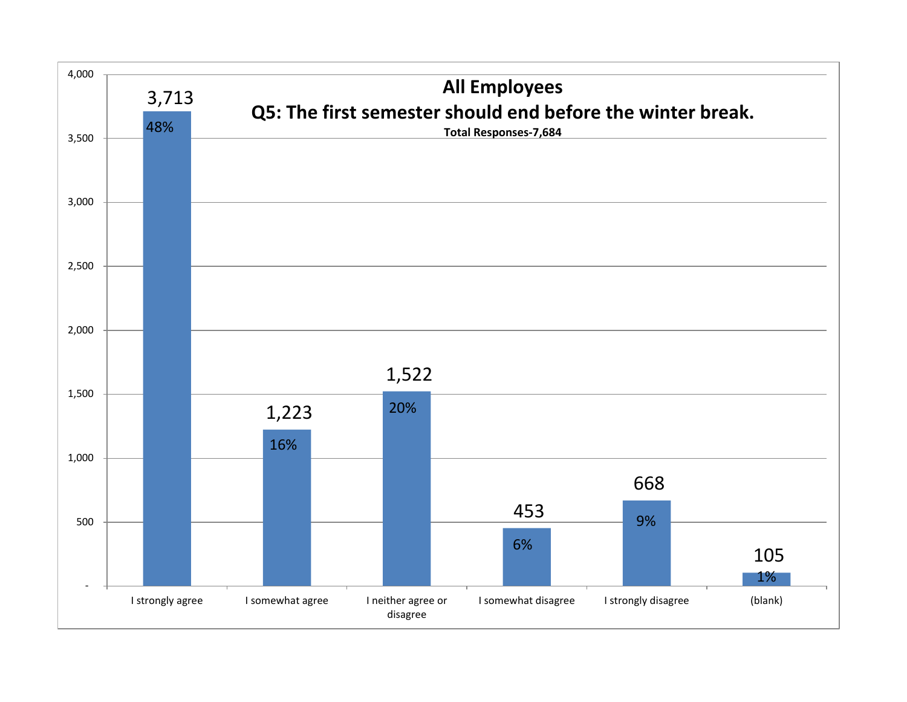![](_page_29_Figure_0.jpeg)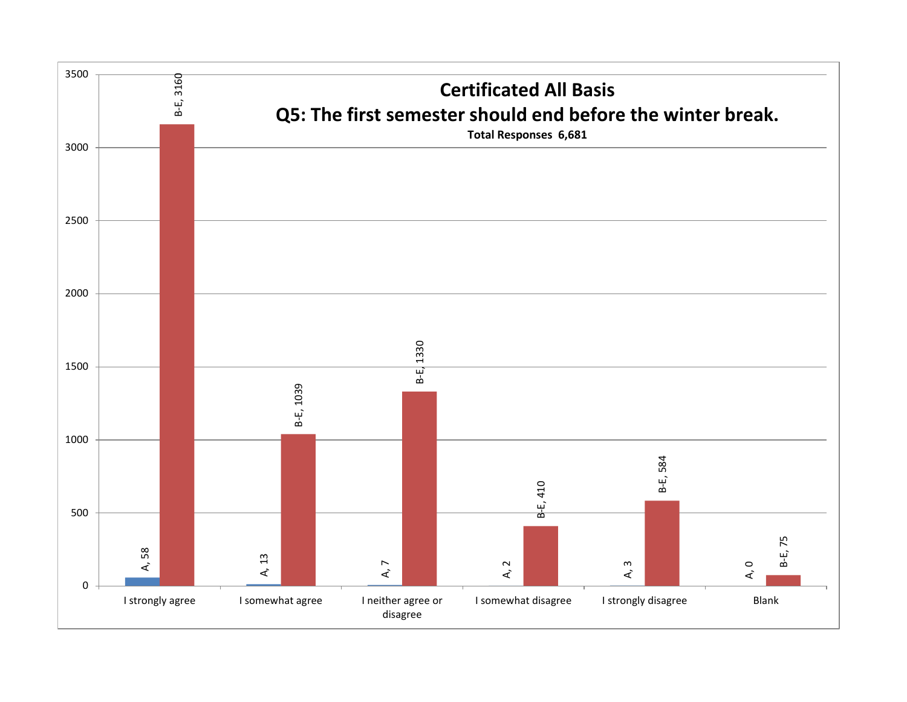![](_page_30_Figure_0.jpeg)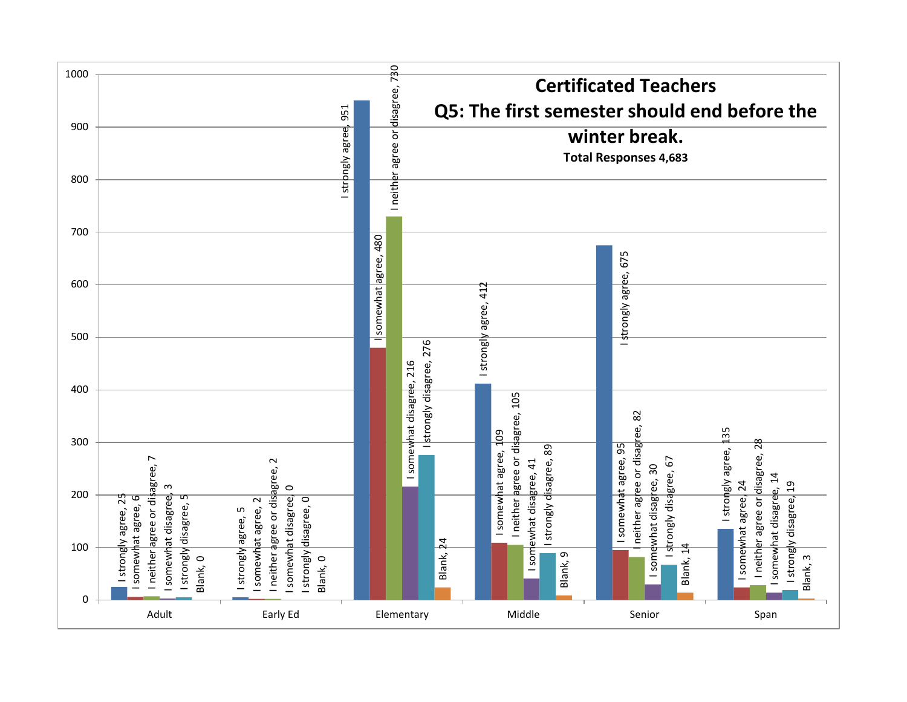![](_page_31_Figure_0.jpeg)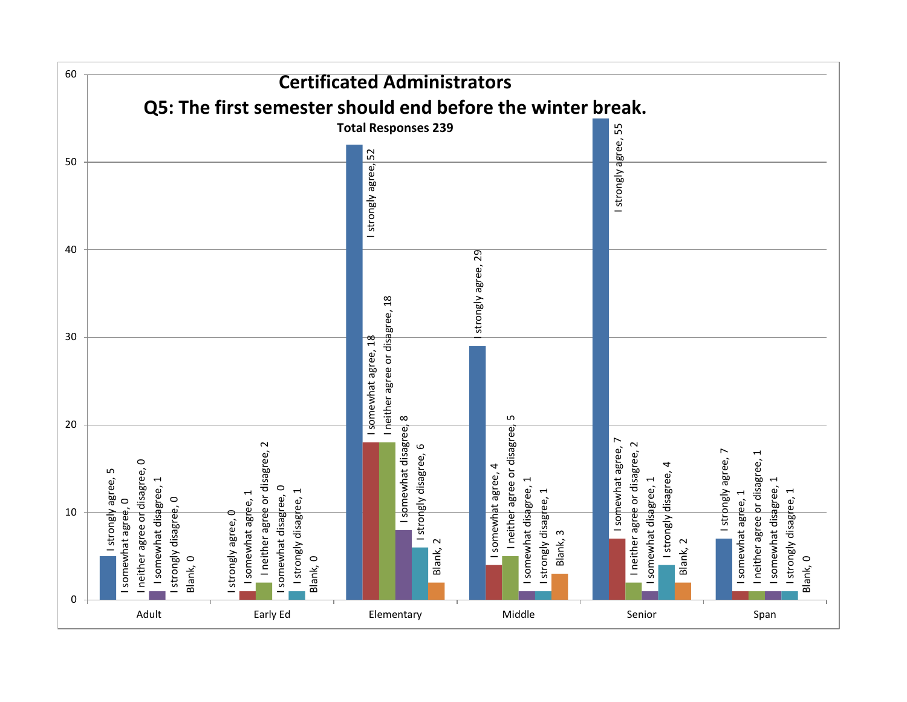![](_page_32_Figure_0.jpeg)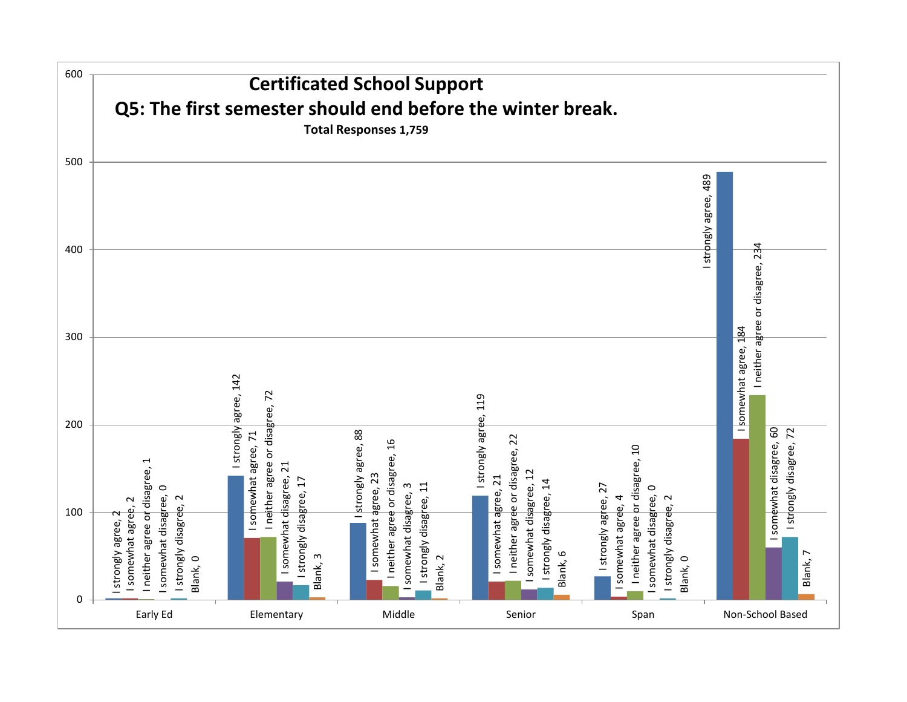![](_page_33_Figure_0.jpeg)